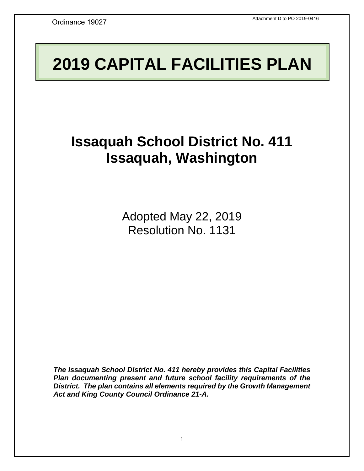# **2019 CAPITAL FACILITIES PLAN**

# **Issaquah School District No. 411 Issaquah, Washington**

Adopted May 22, 2019 Resolution No. 1131

*The Issaquah School District No. 411 hereby provides this Capital Facilities Plan documenting present and future school facility requirements of the District. The plan contains all elements required by the Growth Management Act and King County Council Ordinance 21-A.*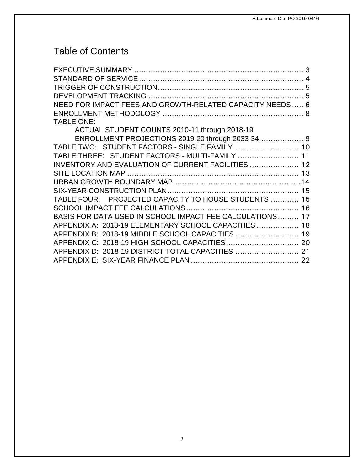## Table of Contents

| NEED FOR IMPACT FEES AND GROWTH-RELATED CAPACITY NEEDS 6 |  |
|----------------------------------------------------------|--|
|                                                          |  |
| <b>TABLE ONE:</b>                                        |  |
| ACTUAL STUDENT COUNTS 2010-11 through 2018-19            |  |
|                                                          |  |
| TABLE TWO: STUDENT FACTORS - SINGLE FAMILY 10            |  |
| TABLE THREE: STUDENT FACTORS - MULTI-FAMILY  11          |  |
| INVENTORY AND EVALUATION OF CURRENT FACILITIES  12       |  |
|                                                          |  |
|                                                          |  |
|                                                          |  |
| TABLE FOUR: PROJECTED CAPACITY TO HOUSE STUDENTS  15     |  |
|                                                          |  |
| BASIS FOR DATA USED IN SCHOOL IMPACT FEE CALCULATIONS 17 |  |
| APPENDIX A: 2018-19 ELEMENTARY SCHOOL CAPACITIES  18     |  |
| APPENDIX B: 2018-19 MIDDLE SCHOOL CAPACITIES  19         |  |
| APPENDIX C: 2018-19 HIGH SCHOOL CAPACITIES 20            |  |
| APPENDIX D: 2018-19 DISTRICT TOTAL CAPACITIES  21        |  |
|                                                          |  |
|                                                          |  |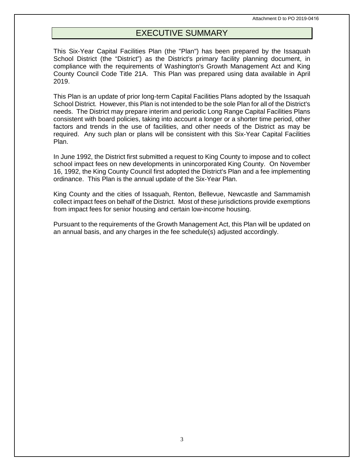## EXECUTIVE SUMMARY

<span id="page-2-0"></span>This Six-Year Capital Facilities Plan (the "Plan") has been prepared by the Issaquah School District (the "District") as the District's primary facility planning document, in compliance with the requirements of Washington's Growth Management Act and King County Council Code Title 21A. This Plan was prepared using data available in April 2019.

This Plan is an update of prior long-term Capital Facilities Plans adopted by the Issaquah School District. However, this Plan is not intended to be the sole Plan for all of the District's needs. The District may prepare interim and periodic Long Range Capital Facilities Plans consistent with board policies, taking into account a longer or a shorter time period, other factors and trends in the use of facilities, and other needs of the District as may be required. Any such plan or plans will be consistent with this Six-Year Capital Facilities Plan.

In June 1992, the District first submitted a request to King County to impose and to collect school impact fees on new developments in unincorporated King County. On November 16, 1992, the King County Council first adopted the District's Plan and a fee implementing ordinance. This Plan is the annual update of the Six-Year Plan.

King County and the cities of Issaquah, Renton, Bellevue, Newcastle and Sammamish collect impact fees on behalf of the District. Most of these jurisdictions provide exemptions from impact fees for senior housing and certain low-income housing.

Pursuant to the requirements of the Growth Management Act, this Plan will be updated on an annual basis, and any charges in the fee schedule(s) adjusted accordingly.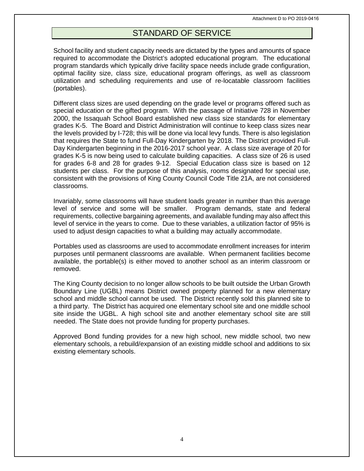## STANDARD OF SERVICE

<span id="page-3-0"></span>School facility and student capacity needs are dictated by the types and amounts of space required to accommodate the District's adopted educational program. The educational program standards which typically drive facility space needs include grade configuration, optimal facility size, class size, educational program offerings, as well as classroom utilization and scheduling requirements and use of re-locatable classroom facilities (portables).

Different class sizes are used depending on the grade level or programs offered such as special education or the gifted program. With the passage of Initiative 728 in November 2000, the Issaquah School Board established new class size standards for elementary grades K-5. The Board and District Administration will continue to keep class sizes near the levels provided by I-728; this will be done via local levy funds. There is also legislation that requires the State to fund Full-Day Kindergarten by 2018. The District provided Full-Day Kindergarten beginning in the 2016-2017 school year. A class size average of 20 for grades K-5 is now being used to calculate building capacities. A class size of 26 is used for grades 6-8 and 28 for grades 9-12. Special Education class size is based on 12 students per class. For the purpose of this analysis, rooms designated for special use, consistent with the provisions of King County Council Code Title 21A, are not considered classrooms.

Invariably, some classrooms will have student loads greater in number than this average level of service and some will be smaller. Program demands, state and federal requirements, collective bargaining agreements, and available funding may also affect this level of service in the years to come. Due to these variables, a utilization factor of 95% is used to adjust design capacities to what a building may actually accommodate.

Portables used as classrooms are used to accommodate enrollment increases for interim purposes until permanent classrooms are available. When permanent facilities become available, the portable(s) is either moved to another school as an interim classroom or removed.

The King County decision to no longer allow schools to be built outside the Urban Growth Boundary Line (UGBL) means District owned property planned for a new elementary school and middle school cannot be used. The District recently sold this planned site to a third party. The District has acquired one elementary school site and one middle school site inside the UGBL. A high school site and another elementary school site are still needed. The State does not provide funding for property purchases.

Approved Bond funding provides for a new high school, new middle school, two new elementary schools, a rebuild/expansion of an existing middle school and additions to six existing elementary schools.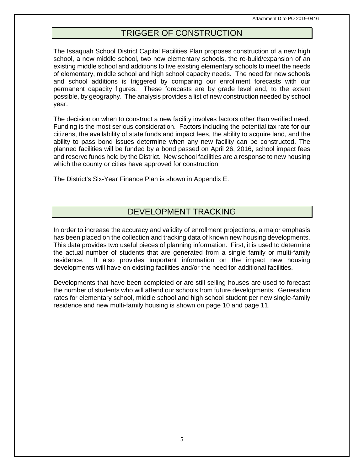## TRIGGER OF CONSTRUCTION

<span id="page-4-0"></span>The Issaquah School District Capital Facilities Plan proposes construction of a new high school, a new middle school, two new elementary schools, the re-build/expansion of an existing middle school and additions to five existing elementary schools to meet the needs of elementary, middle school and high school capacity needs. The need for new schools and school additions is triggered by comparing our enrollment forecasts with our permanent capacity figures. These forecasts are by grade level and, to the extent possible, by geography. The analysis provides a list of new construction needed by school year.

The decision on when to construct a new facility involves factors other than verified need. Funding is the most serious consideration. Factors including the potential tax rate for our citizens, the availability of state funds and impact fees, the ability to acquire land, and the ability to pass bond issues determine when any new facility can be constructed. The planned facilities will be funded by a bond passed on April 26, 2016, school impact fees and reserve funds held by the District. New school facilities are a response to new housing which the county or cities have approved for construction.

The District's Six-Year Finance Plan is shown in Appendix E.

## DEVELOPMENT TRACKING

<span id="page-4-1"></span>In order to increase the accuracy and validity of enrollment projections, a major emphasis has been placed on the collection and tracking data of known new housing developments. This data provides two useful pieces of planning information. First, it is used to determine the actual number of students that are generated from a single family or multi-family residence. It also provides important information on the impact new housing developments will have on existing facilities and/or the need for additional facilities.

Developments that have been completed or are still selling houses are used to forecast the number of students who will attend our schools from future developments. Generation rates for elementary school, middle school and high school student per new single-family residence and new multi-family housing is shown on page 10 and page 11.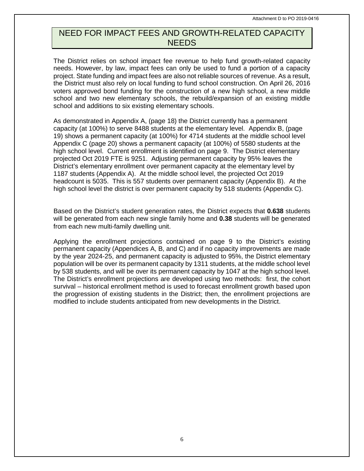## <span id="page-5-0"></span>NEED FOR IMPACT FEES AND GROWTH-RELATED CAPACITY NEEDS

The District relies on school impact fee revenue to help fund growth-related capacity needs. However, by law, impact fees can only be used to fund a portion of a capacity project. State funding and impact fees are also not reliable sources of revenue. As a result, the District must also rely on local funding to fund school construction. On April 26, 2016 voters approved bond funding for the construction of a new high school, a new middle school and two new elementary schools, the rebuild/expansion of an existing middle school and additions to six existing elementary schools.

As demonstrated in Appendix A, (page 18) the District currently has a permanent capacity (at 100%) to serve 8488 students at the elementary level. Appendix B, (page 19) shows a permanent capacity (at 100%) for 4714 students at the middle school level Appendix C (page 20) shows a permanent capacity (at 100%) of 5580 students at the high school level. Current enrollment is identified on page 9. The District elementary projected Oct 2019 FTE is 9251. Adjusting permanent capacity by 95% leaves the District's elementary enrollment over permanent capacity at the elementary level by 1187 students (Appendix A). At the middle school level, the projected Oct 2019 headcount is 5035. This is 557 students over permanent capacity (Appendix B). At the high school level the district is over permanent capacity by 518 students (Appendix C).

Based on the District's student generation rates, the District expects that **0.638** students will be generated from each new single family home and **0.38** students will be generated from each new multi-family dwelling unit.

Applying the enrollment projections contained on page 9 to the District's existing permanent capacity (Appendices A, B, and C) and if no capacity improvements are made by the year 2024-25, and permanent capacity is adjusted to 95%, the District elementary population will be over its permanent capacity by 1311 students, at the middle school level by 538 students, and will be over its permanent capacity by 1047 at the high school level. The District's enrollment projections are developed using two methods: first, the cohort survival – historical enrollment method is used to forecast enrollment growth based upon the progression of existing students in the District; then, the enrollment projections are modified to include students anticipated from new developments in the District.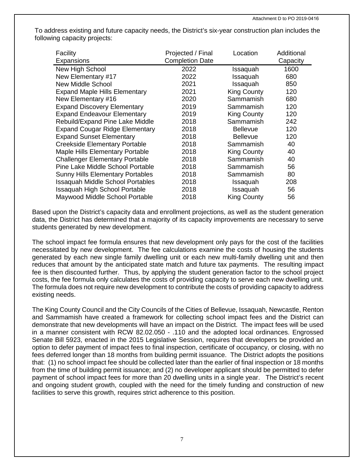To address existing and future capacity needs, the District's six-year construction plan includes the following capacity projects:

| Facility<br>Expansions                  | Projected / Final<br><b>Completion Date</b> | Location           | Additional<br>Capacity |
|-----------------------------------------|---------------------------------------------|--------------------|------------------------|
| New High School                         | 2022                                        | Issaquah           | 1600                   |
| New Elementary #17                      | 2022                                        | Issaquah           | 680                    |
| New Middle School                       | 2021                                        | Issaquah           | 850                    |
| <b>Expand Maple Hills Elementary</b>    | 2021                                        | <b>King County</b> | 120                    |
| New Elementary #16                      | 2020                                        | Sammamish          | 680                    |
| <b>Expand Discovery Elementary</b>      | 2019                                        | Sammamish          | 120                    |
| <b>Expand Endeavour Elementary</b>      | 2019                                        | <b>King County</b> | 120                    |
| Rebuild/Expand Pine Lake Middle         | 2018                                        | Sammamish          | 242                    |
| <b>Expand Cougar Ridge Elementary</b>   | 2018                                        | <b>Bellevue</b>    | 120                    |
| <b>Expand Sunset Elementary</b>         | 2018                                        | <b>Bellevue</b>    | 120                    |
| <b>Creekside Elementary Portable</b>    | 2018                                        | Sammamish          | 40                     |
| <b>Maple Hills Elementary Portable</b>  | 2018                                        | <b>King County</b> | 40                     |
| <b>Challenger Elementary Portable</b>   | 2018                                        | Sammamish          | 40                     |
| Pine Lake Middle School Portable        | 2018                                        | Sammamish          | 56                     |
| <b>Sunny Hills Elementary Portables</b> | 2018                                        | Sammamish          | 80                     |
| <b>Issaquah Middle School Portables</b> | 2018                                        | Issaquah           | 208                    |
| <b>Issaquah High School Portable</b>    | 2018                                        | Issaquah           | 56                     |
| Maywood Middle School Portable          | 2018                                        | <b>King County</b> | 56                     |

Based upon the District's capacity data and enrollment projections, as well as the student generation data, the District has determined that a majority of its capacity improvements are necessary to serve students generated by new development.

The school impact fee formula ensures that new development only pays for the cost of the facilities necessitated by new development. The fee calculations examine the costs of housing the students generated by each new single family dwelling unit or each new multi-family dwelling unit and then reduces that amount by the anticipated state match and future tax payments. The resulting impact fee is then discounted further. Thus, by applying the student generation factor to the school project costs, the fee formula only calculates the costs of providing capacity to serve each new dwelling unit. The formula does not require new development to contribute the costs of providing capacity to address existing needs.

The King County Council and the City Councils of the Cities of Bellevue, Issaquah, Newcastle, Renton and Sammamish have created a framework for collecting school impact fees and the District can demonstrate that new developments will have an impact on the District. The impact fees will be used in a manner consistent with RCW 82.02.050 - .110 and the adopted local ordinances. Engrossed Senate Bill 5923, enacted in the 2015 Legislative Session, requires that developers be provided an option to defer payment of impact fees to final inspection, certificate of occupancy, or closing, with no fees deferred longer than 18 months from building permit issuance. The District adopts the positions that: (1) no school impact fee should be collected later than the earlier of final inspection or 18 months from the time of building permit issuance; and (2) no developer applicant should be permitted to defer payment of school impact fees for more than 20 dwelling units in a single year. The District's recent and ongoing student growth, coupled with the need for the timely funding and construction of new facilities to serve this growth, requires strict adherence to this position.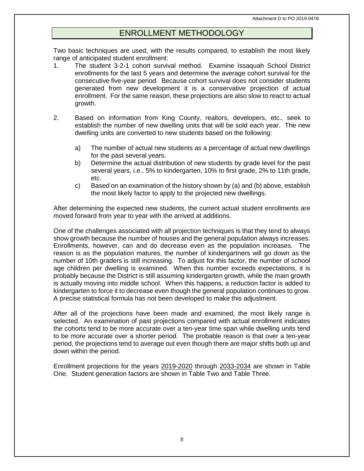## ENROLLMENT METHODOLOGY

<span id="page-7-0"></span>Two basic techniques are used, with the results compared, to establish the most likely range of anticipated student enrollment:

- 1. The student 3-2-1 cohort survival method. Examine Issaquah School District enrollments for the last 5 years and determine the average cohort survival for the consecutive five-year period. Because cohort survival does not consider students generated from new development it is a conservative projection of actual enrollment. For the same reason, these projections are also slow to react to actual growth.
- 2. Based on information from King County, realtors, developers, etc., seek to establish the number of new dwelling units that will be sold each year. The new dwelling units are converted to new students based on the following:
	- a) The number of actual new students as a percentage of actual new dwellings for the past several years.
	- b) Determine the actual distribution of new students by grade level for the past several years, i.e., 5% to kindergarten, 10% to first grade, 2% to 11th grade, etc.
	- c) Based on an examination of the history shown by (a) and (b) above, establish the most likely factor to apply to the projected new dwellings.

After determining the expected new students, the current actual student enrollments are moved forward from year to year with the arrived at additions.

One of the challenges associated with all projection techniques is that they tend to always show growth because the number of houses and the general population always increases. Enrollments, however, can and do decrease even as the population increases. The reason is as the population matures, the number of kindergartners will go down as the number of 10th graders is still increasing. To adjust for this factor, the number of school age children per dwelling is examined. When this number exceeds expectations, it is probably because the District is still assuming kindergarten growth, while the main growth is actually moving into middle school. When this happens, a reduction factor is added to kindergarten to force it to decrease even though the general population continues to grow. A precise statistical formula has not been developed to make this adjustment.

After all of the projections have been made and examined, the most likely range is selected. An examination of past projections compared with actual enrollment indicates the cohorts tend to be more accurate over a ten-year time span while dwelling units tend to be more accurate over a shorter period. The probable reason is that over a ten-year period, the projections tend to average out even though there are major shifts both up and down within the period.

Enrollment projections for the years 2019-2020 through 2033-2034 are shown in Table One. Student generation factors are shown in Table Two and Table Three.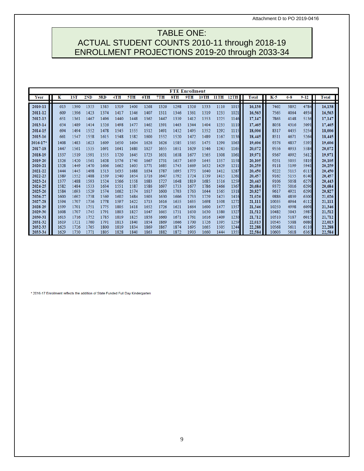Attachment D to PO 2019-0416

## <span id="page-8-0"></span>TABLE ONE: ACTUAL STUDENT COUNTS 2010-11 through 2018-19 ENROLLMENT PROJECTIONS 2019-20 through 2033-34

|              |              |              |              |              |              |              |              |              | <b>FTE Enrollment</b> |              |              |              |              |              |                |              |              |              |
|--------------|--------------|--------------|--------------|--------------|--------------|--------------|--------------|--------------|-----------------------|--------------|--------------|--------------|--------------|--------------|----------------|--------------|--------------|--------------|
| Year         | ĸ            | 1ST          | 2ND          | 3RD          | 4TH          | 5TH          | 6TH          | 7TH          | 8TH                   | 9TH          | 10TH         | 11TH         | 12TH         | <b>Total</b> | K-5            | $6 - 8$      | $9 - 12$     | <b>Total</b> |
| П<br>2010-11 | 613          | 1390         | 1355         | 1385         | 1319         | 1400         | 1268         | 1326         | 1298                  | 1326         | 1333         | 1110         | 1015         | 16,138       | 7462           | 3892         | 4784         | 16,138       |
| 2011-12      | 609          | 1396         | 1423         | 1374         | 1417         | 1346         | 1407         | 1311         | 1346                  | 1361         | 1319         | 1233         | 1021         | 16.563       | 7565           | 4064         | 4934         | 16.563       |
|              |              |              |              |              |              |              |              |              |                       |              |              |              |              |              |                |              |              |              |
| 2012-13      | 651          | 1361         | 1467         | 1496         | 1440         | 1448         | 1362         | 1447         | 1339                  | 1412         | 1353         | 1225         | 1146         | 17,147       | 7863           | 4148         | 5136         | 17,147       |
| 2013-14      | 654          | 1489         | 1414         | 1526         | 1498         | 1477         | 1462         | 1391         | 1463                  | 1344         | 1404         | 1233         | 1110         | 17,465       | 8058           | 4316         | 5091         | 17,465       |
| 2014-15      | 694          | 1494         | 1552         | 1478         | 1545         | 1555         | 1512         | 1491         | 1432                  | 1495         | 1352         | 1292         | 1115         | 18,006       | 8317           | 4435         | 5254         | 18,006       |
| 2015-16      | 661          | 1547         | 1558         | 1615         | 1548         | 1582         | 1600         | 1552         | 1520                  | 1472         | 1489         | 1167         | 1136         | 18,445       | 8511           | 4671         | 5264         | 18,445       |
| $2016 - 17*$ | 1408         | 1483         | 1623         | 1609         | 1650         | 1604         | 1626         | 1626         | 1585                  | 1565         | 1475         | 1290         | 1063         | 19,606       | 9376           | 4837         | 5393         | 19,606       |
| 2017-18      | 1447         | 1561         | 1535         | 1691         | 1641         | 1680         | 1627         | 1655         | 1651                  | 1629         | 1546         | 1243         | 1165         | 20.072       | 9556           | 4933         | 5584         | 20,072       |
| 2018-19      | 1337         | 1519         | 1591         | 1555         | 1720         | 1645         | 1723         | 1631         | 1638                  | 1677         | 1565         | 1308         | 1061         | 19.971       | 9367           | 4992         | 5612         | 19.971       |
| 2019-20      | 1326         | 1420         | 1561         | 1628         | 1576         | 1740         | 1667         | 1731         | 1637                  | 1659         | 1645         | 1357         | 1158         | 20,105       | 9251           | 5035         | 5819         | 20,105       |
| 2020-21      | 1328         | 1449         | 1470         | 1606         | 1662         | 1603         | 1771         | 1685         | 1743                  | 1669         | 1632         | 1429         | 1211         | 20,259       | 9118           | 5199         | 5941         | 20,259       |
| 2021-22      | 1444         | 1445         | 1498         | 1513         | 1635         | 1688         | 1634         | 1787         | 1695                  | 1775         | 1640         | 1412         | 1287         | 20,450       | 9222           | 5115         | 6113         | 20,450       |
| 2022-23      | 1389         | 1552         | 1488         | 1539         | 1540         | 1654         | 1716         | 1647         | 1792                  | 1724         | 1739         | 1415         | 1261         | 20,457       | 9162           | 5155         | 6140         | 20,457       |
| 2023-24      | 1377         | 1488         | 1593         | 1524         | 1566         | 1558         | 1683         | 1727         | 1648                  | 1819         | 1685         | 1516         | 1259         | 20,443       | 9106           | 5058         | 6279         | 20,443       |
| 2024-25      | 1582         | 1484         | 1533         | 1634         | 1551         | 1587         | 1586         | 1697         | 1733                  | 1677         | 1786         | 1466         | 1367         | 20,684       | 9372           | 5016         | 6296         | 20,684       |
| 2025-26      | 1584         | 1693         | 1529         | 1574         | 1662         | 1574         | 1617         | 1600         | 1703                  | 1763         | 1644         | 1565         | 1318         | 20.827       | 9617           | 4921         | 6290         | 20,827       |
| 2026-27      | 1600         | 1692         | 1738         | 1569         | 1602         | 1684         | 1603         | 1630         | 1606                  | 1733         | 1729         | 1423         | 1416         | 21,026       | 9886           | 4839         | 6300         | 21,026       |
| 2027-28      | 1594         | 1707         | 1736         | 1778         | 1597         | 1622         | 1713         | 1616         | 1635                  | 1635         | 1698         | 1508         | 1272         | 21,111       | 10035          | 4964         | 6112         | 21,111       |
| 2028-29      | 1599         | 1701         | 1751         | 1775         | 1805         | 1618         | 1652         | 1726         | 1621                  | 1664         | 1600         | 1477         | 1357         | 21.346       | 10250          | 4998         | 6098         | 21.346       |
| 2029-30      | 1608         | 1707         | 1745         | 1791         | 1803         | 1827         | 1647         | 1665         | 1731                  | 1650         | 1630         | 1380         | 1327         | 21.512       | 10482          | 5043         | 5987         | 21.512       |
| 2030-31      | 1613         | 1716         | 1752         | 1785         | 1819         | 1825         | 1856         | 1660         | 1671                  | 1761         | 1616         | 1409         | 1230         | 21,712       | 10510          | 5187         | 6015         | 21,712       |
| 2031-32      | 1619         | 1721         | 1760         | 1791         | 1813         | 1840         | 1854         | 1869         | 1666                  | 1700         | 1726         | 1395         | 1259         | 22,013       | 10545          | 5388         | 6080         | 22,013       |
| 2032-33      | 1623<br>1629 | 1726<br>1730 | 1765<br>1771 | 1800<br>1805 | 1819<br>1828 | 1834<br>1840 | 1869<br>1863 | 1867<br>1882 | 1874<br>1872          | 1695<br>1903 | 1665<br>1660 | 1505<br>1444 | 1244<br>1355 | 22,288       | 10568<br>10603 | 5611<br>5618 | 6110<br>6363 | 22,288       |
| 2033-34      |              |              |              |              |              |              |              |              |                       |              |              |              |              | 22,584       |                |              |              | 22,584       |

**\* 2016-17 Enrollment reflects the addition of State Funded Full Day Kindergarten**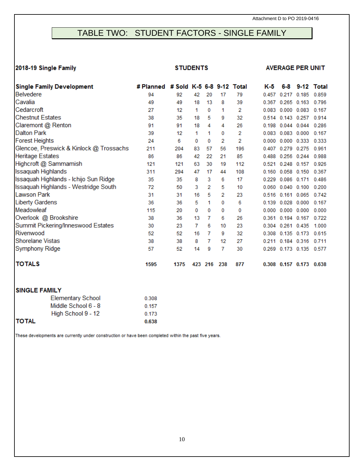## <span id="page-9-0"></span>TABLE TWO: STUDENT FACTORS - SINGLE FAMILY

## 2018-19 **Single Family STUDENTS AVERAGE PER UNIT**

| <b>Single Family Development</b>        | # Planned | # Sold K-5 6-8 9-12 Total |     |     |     |     | K-5   | 6-8                     |       | 9-12 Total |
|-----------------------------------------|-----------|---------------------------|-----|-----|-----|-----|-------|-------------------------|-------|------------|
| <b>Belvedere</b>                        | 94        | 92                        | 42  | 20  | 17  | 79  | 0.457 | 0.217 0.185             |       | 0.859      |
| Cavalia                                 | 49        | 49                        | 18  | 13  | 8   | 39  | 0.367 | 0.265 0.163             |       | 0.796      |
| Cedarcroft                              | 27        | 12                        | 1   | 0   | 1   | 2   | 0.083 | 0.000 0.083             |       | 0.167      |
| <b>Chestnut Estates</b>                 | 38        | 35                        | 18  | 5   | 9   | 32  | 0.514 | 0.143 0.257             |       | 0.914      |
| Claremont @ Renton                      | 91        | 91                        | 18  | 4   | 4   | 26  | 0.198 | 0.044 0.044             |       | 0.286      |
| <b>Dalton Park</b>                      | 39        | 12                        | 1   | 1   | 0   | 2   | 0.083 | 0.083                   | 0.000 | 0.167      |
| <b>Forest Heights</b>                   | 24        | 6                         | 0   | 0   | 2   | 2   | 0.000 | $0.000$ $0.333$         |       | 0.333      |
| Glencoe, Preswick & Kinlock @ Trossachs | 211       | 204                       | 83  | 57  | 56  | 196 | 0.407 | 0.279                   | 0.275 | 0.961      |
| <b>Heritage Estates</b>                 | 86        | 86                        | 42  | 22  | 21  | 85  | 0.488 | 0.256 0.244             |       | 0.988      |
| Highcroft @ Sammamish                   | 121       | 121                       | 63  | 30  | 19  | 112 | 0.521 | 0.248 0.157             |       | 0.926      |
| <b>Issaquah Highlands</b>               | 311       | 294                       | 47  | 17  | 44  | 108 | 0.160 | 0.058 0.150             |       | 0.367      |
| Issaquah Highlands - Ichijo Sun Ridge   | 35        | 35                        | 8   | 3   | 6   | 17  | 0.229 | 0.086 0.171             |       | 0.486      |
| Issaquah Highlands - Westridge South    | 72        | 50                        | 3   | 2   | 5   | 10  | 0.060 | $0.040$ $0.100$         |       | 0.200      |
| <b>Lawson Park</b>                      | 31        | 31                        | 16  | 5   | 2   | 23  | 0.516 | 0.161 0.065             |       | 0.742      |
| <b>Liberty Gardens</b>                  | 36        | 36                        | 5   | 1   | 0   | 6   | 0.139 | 0.028                   | 0.000 | 0.167      |
| Meadowleaf                              | 115       | 20                        | 0   | 0   | 0   | 0   | 0.000 | 0.000                   | 0.000 | 0.000      |
| Overlook @ Brookshire                   | 38        | 36                        | 13  | 7   | 6   | 26  | 0.361 | 0.194 0.167             |       | 0.722      |
| Summit Pickering/Inneswood Estates      | 30        | 23                        | 7   | 6   | 10  | 23  | 0.304 | 0.261 0.435             |       | 1.000      |
| Rivenwood                               | 52        | 52                        | 16  | 7   | 9   | 32  | 0.308 | 0.135 0.173             |       | 0.615      |
| <b>Shorelane Vistas</b>                 | 38        | 38                        | 8   | 7   | 12  | 27  | 0.211 | 0.184 0.316             |       | 0.711      |
| <b>Symphony Ridge</b>                   | 57        | 52                        | 14  | 9   | 7   | 30  | 0.269 | 0.173 0.135             |       | 0.577      |
| <b>TOTALS</b>                           | 1595      | 1375                      | 423 | 216 | 238 | 877 |       | 0.308 0.157 0.173 0.638 |       |            |

### **SINGLE FAMILY**

|       | <b>Elementary School</b> | 0.308 |
|-------|--------------------------|-------|
|       | Middle School 6 - 8      | 0.157 |
|       | High School 9 - 12       | 0.173 |
| TOTAL |                          | 0.638 |

These developments are currently under construction or have been completed within the past five years.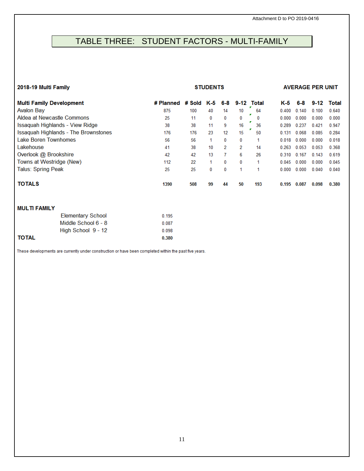## <span id="page-10-0"></span>TABLE THREE: STUDENT FACTORS - MULTI-FAMILY

#### **2018-19 Multi Family STUDENTS AVERAGE PER UNIT**

| <b>Multi Family Development</b>             | # Planned | # Sold K-5 |    | 6-8             | $9 - 12$ | Total | K-5   | 6-8   | $9-12$ | Total |
|---------------------------------------------|-----------|------------|----|-----------------|----------|-------|-------|-------|--------|-------|
| <b>Avalon Bay</b>                           | 875       | 100        | 40 | 14              | 10       | 64    | 0.400 | 0.140 | 0.100  | 0.640 |
| Aldea at Newcastle Commons                  | 25        | 11         | 0  | 0               | 0        | 0     | 0.000 | 0.000 | 0.000  | 0.000 |
| Issaquah Highlands - View Ridge             | 38        | 38         | 11 | 9               | 16       | 36    | 0.289 | 0.237 | 0.421  | 0.947 |
| <b>Issaquah Highlands - The Brownstones</b> | 176       | 176        | 23 | 12 <sup>°</sup> | 15       | 50    | 0.131 | 0.068 | 0.085  | 0.284 |
| <b>Lake Boren Townhomes</b>                 | 56        | 56         | 1. | 0               | 0        | 1     | 0.018 | 0.000 | 0.000  | 0.018 |
| Lakehouse                                   | 41        | 38         | 10 | 2               | 2        | 14    | 0.263 | 0.053 | 0.053  | 0.368 |
| Overlook @ Brookshire                       | 42        | 42         | 13 |                 | 6        | 26    | 0.310 | 0.167 | 0.143  | 0.619 |
| Towns at Westridge (New)                    | 112       | 22         | 1. | 0               | 0        |       | 0.045 | 0.000 | 0.000  | 0.045 |
| Talus: Spring Peak                          | 25        | 25         | 0  | 0               | 1        | 1     | 0.000 | 0.000 | 0.040  | 0.040 |
| <b>TOTALS</b>                               | 1390      | 508        | 99 | 44              | 50       | 193   | 0.195 | 0.087 | 0.098  | 0.380 |
| <b>MULTIFAMILY</b>                          |           |            |    |                 |          |       |       |       |        |       |

| <b>MULILFAMILI</b> |                     |       |
|--------------------|---------------------|-------|
|                    | Elementary School   | 0.195 |
|                    | Middle School 6 - 8 | 0.087 |
|                    | High School 9 - 12  | 0.098 |
| <b>TOTAL</b>       |                     | 0.380 |

These developments are currently under construction or have been completed within the past five years.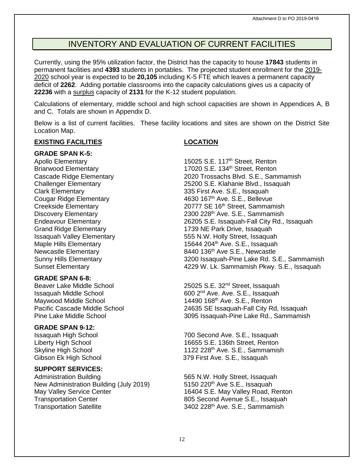## INVENTORY AND EVALUATION OF CURRENT FACILITIES

<span id="page-11-0"></span>Currently, using the 95% utilization factor, the District has the capacity to house **17843** students in permanent facilities and **4393** students in portables. The projected student enrollment for the 2019- 2020 school year is expected to be **20,105** including K-5 FTE which leaves a permanent capacity deficit of **2262**. Adding portable classrooms into the capacity calculations gives us a capacity of **22236** with a surplus capacity of **2131** for the K-12 student population.

Calculations of elementary, middle school and high school capacities are shown in Appendices A, B and C. Totals are shown in Appendix D.

Below is a list of current facilities. These facility locations and sites are shown on the District Site Location Map.

### **EXISTING FACILITIES LOCATION**

#### **GRADE SPAN K-5:**

#### **GRADE SPAN 6-8:**

Maywood Middle School 14490 168<sup>th</sup> Ave. S.E., Renton<br>Pacific Cascade Middle School 1587 14490 24635 SE Issaquah-Fall City R

#### **GRADE SPAN 9-12:**

#### **SUPPORT SERVICES:**

Administration Building<br>
New Administration Building (July 2019) 5150 220<sup>th</sup> Ave S.E., Issaquah New Administration Building (July 2019) May Valley Service Center 16404 S.E. May Valley Road, Renton<br>16404 S.E. May Valley Road, Renton<br>1695 Second Avenue S.E., Issaquah Transportation Satellite 3402 228<sup>th</sup> Ave. S.E., Sammamish

Apollo Elementary **15025 S.E. 117<sup>th</sup> Street, Renton** Briarwood Elementary 17020 S.E. 134<sup>th</sup> Street, Renton<br>Cascade Ridge Elementary 1899 2020 Trossachs Blvd. S.E., Sam Cascade Ridge Elementary 2020 Trossachs Blvd. S.E., Sammamish<br>Challenger Elementary 25200 S.E. Klahanie Blvd., Issaquah 25200 S.E. Klahanie Blvd., Issaquah Clark Elementary 335 First Ave. S.E., Issaquah Cougar Ridge Elementary 4630 167th Ave. S.E., Bellevue Creekside Elementary **20777 SE 16<sup>th</sup> Street, Sammamish** Discovery Elementary 2300 228<sup>th</sup> Ave. S.E., Sammamish Endeavour Elementary 26205 S.E. Issaquah-Fall City Rd., Issaquah Grand Ridge Elementary 1739 NE Park Drive, Issaquah Issaquah Valley Elementary 555 N.W. Holly Street, Issaquah Maple Hills Elementary 15644 204<sup>th</sup> Ave. S.E., Issaquah Newcastle Elementary 6440 136<sup>th</sup> Ave S.E., Newcastle Sunny Hills Elementary 63200 Issaquah-Pine Lake Rd. S. 3200 Issaquah-Pine Lake Rd. S.E., Sammamish Sunset Elementary 4229 W. Lk. Sammamish Pkwy. S.E., Issaquah

Beaver Lake Middle School 25025 S.E. 32nd Street, Issaquah Issaquah Middle School 600 2<sup>nd</sup> Ave. Ave. S.E., Issaquah Maywood Middle School 600 2nd Ave. S.E., Renton Pacific Cascade Middle School 24635 SE Issaquah-Fall City Rd, Issaquah<br>Pine Lake Middle School 2005 Issaquah-Pine Lake Rd., Sammamish 3095 Issaquah-Pine Lake Rd., Sammamish

Issaquah High School 700 Second Ave. S.E., Issaquah Liberty High School 16655 S.E. 136th Street, Renton Skyline High School **1122 228<sup>th</sup> Ave. S.E., Sammamish** Gibson Ek High School 379 First Ave. S.E., Issaquah

805 Second Avenue S.E., Issaquah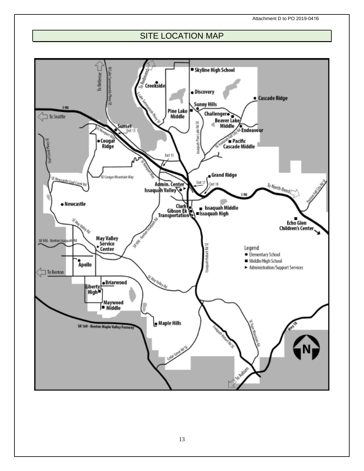## SITE LOCATION MAP

<span id="page-12-0"></span>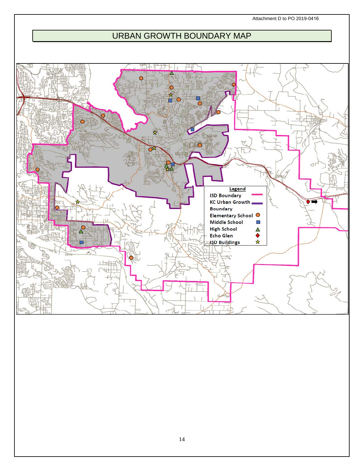Attachment D to PO 2019-0416

## URBAN GROWTH BOUNDARY MAP

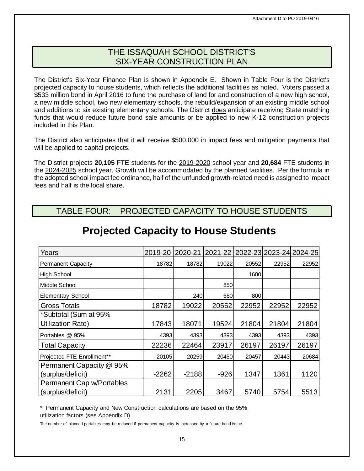## THE ISSAQUAH SCHOOL DISTRICT'S SIX-YEAR CONSTRUCTION PLAN

<span id="page-14-0"></span>The District's Six-Year Finance Plan is shown in Appendix E. Shown in Table Four is the District's projected capacity to house students, which reflects the additional facilities as noted. Voters passed a \$533 million bond in April 2016 to fund the purchase of land for and construction of a new high school, a new middle school, two new elementary schools, the rebuild/expansion of an existing middle school and additions to six existing elementary schools. The District does anticipate receiving State matching funds that would reduce future bond sale amounts or be applied to new K-12 construction projects included in this Plan.

The District also anticipates that it will receive \$500,000 in impact fees and mitigation payments that will be applied to capital projects.

The District projects **20,105** FTE students for the 2019-2020 school year and **20,684** FTE students in the 2024-2025 school year. Growth will be accommodated by the planned facilities. Per the formula in the adopted school impact fee ordinance, half of the unfunded growth-related need is assigned to impact fees and half is the local share.

## <span id="page-14-1"></span>TABLE FOUR: PROJECTED CAPACITY TO HOUSE STUDENTS

| Years                      | 2019-20 | 2020-21 | 2021-22 |       |       | 2022-23 2023-24 2024-25 |
|----------------------------|---------|---------|---------|-------|-------|-------------------------|
| <b>Permanent Capacity</b>  | 18782   | 18782   | 19022   | 20552 | 22952 | 22952                   |
| High School                |         |         |         | 1600  |       |                         |
| IMiddle School             |         |         | 850     |       |       |                         |
| <b>Elementary School</b>   |         | 240     | 680     | 800   |       |                         |
| <b>Gross Totals</b>        | 18782   | 19022   | 20552   | 22952 | 22952 | 22952                   |
| *Subtotal (Sum at 95%      |         |         |         |       |       |                         |
| Utilization Rate)          | 17843   | 18071   | 19524   | 21804 | 21804 | 21804                   |
| Portables @ 95%            | 4393    | 4393    | 4393    | 4393  | 4393  | 4393                    |
| <b>Total Capacity</b>      | 22236   | 22464   | 23917   | 26197 | 26197 | 26197                   |
| Projected FTE Enrollment** | 20105   | 20259   | 20450   | 20457 | 20443 | 20684                   |
| Permanent Capacity @ 95%   |         |         |         |       |       |                         |
| (surplus/deficit)          | $-2262$ | $-2188$ | $-926$  | 1347  | 1361  | 1120                    |
| Permanent Cap w/Portables  |         |         |         |       |       |                         |
| (surplus/deficit)          | 2131    | 2205    | 3467    | 5740  | 5754  | 5513                    |

## **Projected Capacity to House Students**

\* Permanent Capacity and New Construction calculations are based on the 95% utilization factors (see Appendix D)

The number of planned portables may be reduced if permanent capacity is increased by a future bond issue.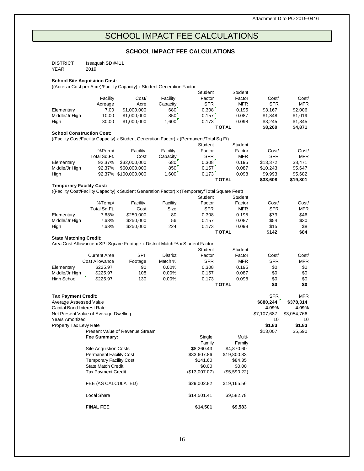## SCHOOL IMPACT FEE CALCULATIONS

#### **SCHOOL IMPACT FEE CALCULATIONS**

<span id="page-15-0"></span>

| <b>DISTRICT</b> | Issaguah SD #411 |
|-----------------|------------------|
| YEAR            | 2019             |

#### **School Site Acquisition Cost:**

((Acres x Cost per Acre)/Facility Capacity) x Student Generation Factor

|                                       |                                |                                                                                                 |                 | Student              | Student      |             |             |
|---------------------------------------|--------------------------------|-------------------------------------------------------------------------------------------------|-----------------|----------------------|--------------|-------------|-------------|
|                                       | Facility                       | Cost/                                                                                           | Facility        | Factor               | Factor       | Cost/       | Cost/       |
|                                       | Acreage                        | Acre                                                                                            | Capacity        | SFR                  | <b>MFR</b>   | <b>SFR</b>  | <b>MFR</b>  |
| Elementary                            | 7.00                           | \$1,000,000                                                                                     | 680             | 0.308                | 0.195        | \$3,167     | \$2,006     |
| Middle/Jr High                        | 10.00                          | \$1,000,000                                                                                     | 850'            | 0.157                | 0.087        | \$1,848     | \$1,019     |
| High                                  | 30.00                          | \$1,000,000                                                                                     | 1,600           | $0.173$ <sup>r</sup> | 0.098        | \$3,245     | \$1,845     |
|                                       |                                |                                                                                                 |                 |                      | TOTAL        | \$8,260     | \$4,871     |
| <b>School Construction Cost:</b>      |                                |                                                                                                 |                 |                      |              |             |             |
|                                       |                                | ((Facility Cost/Facility Capacity) x Student Generation Factor) x (Permanent/Total Sq Ft)       |                 |                      |              |             |             |
|                                       |                                |                                                                                                 |                 | Student              | Student      |             |             |
|                                       | %Perm/                         | Facility                                                                                        | Facility        | Factor               | Factor       | Cost/       | Cost/       |
|                                       | Total Sq.Ft.                   | Cost                                                                                            | Capacity        | SFR                  | <b>MFR</b>   | <b>SFR</b>  | <b>MFR</b>  |
| Elementary                            | 92.37%                         | \$32,000,000                                                                                    | 680             | 0.308                | 0.195        | \$13,372    | \$8,471     |
| Middle/Jr High                        | 92.37%                         | \$60,000,000                                                                                    | 850             | 0.157                | 0.087        | \$10,243    | \$5,647     |
| High                                  |                                | 92.37% \$100,000,000                                                                            | 1,600           | 0.173                | 0.098        | \$9,993     | \$5,682     |
|                                       |                                |                                                                                                 |                 |                      | <b>TOTAL</b> | \$33,608    | \$19,801    |
| <b>Temporary Facility Cost:</b>       |                                |                                                                                                 |                 |                      |              |             |             |
|                                       |                                | ((Facility Cost/Facility Capacity) x Student Generation Factor) x (Temporary/Total Square Feet) |                 |                      |              |             |             |
|                                       |                                |                                                                                                 |                 | Student              | Student      |             |             |
|                                       | %Temp/                         | Facility                                                                                        | Facility        | Factor               | Factor       | Cost/       | Cost/       |
|                                       | Total Sq.Ft.                   | Cost                                                                                            | Size            | SFR                  | <b>MFR</b>   | <b>SFR</b>  | MFR         |
| Elementary                            | 7.63%                          | \$250,000                                                                                       | 80              | 0.308                | 0.195        | \$73        | \$46        |
| Middle/Jr High                        | 7.63%                          | \$250,000                                                                                       | 56              | 0.157                | 0.087        | \$54        | \$30        |
| High                                  | 7.63%                          | \$250,000                                                                                       | 224             | 0.173                | 0.098        | \$15        | \$8         |
|                                       |                                |                                                                                                 |                 |                      | TOTAL        | \$142       | \$84        |
| <b>State Matching Credit:</b>         |                                |                                                                                                 |                 |                      |              |             |             |
|                                       |                                | Area Cost Allowance x SPI Square Footage x District Match % x Student Factor                    |                 |                      |              |             |             |
|                                       |                                |                                                                                                 |                 | Student              | Student      |             |             |
|                                       | <b>Current Area</b>            | <b>SPI</b>                                                                                      | <b>District</b> | Factor               | Factor       | Cost/       | Cost/       |
|                                       | <b>Cost Allowance</b>          | Footage                                                                                         | Match %         | SFR                  | <b>MFR</b>   | <b>SFR</b>  | MFR         |
| Elementary                            | \$225.97                       | 90                                                                                              | $0.00\%$        | 0.308                | 0.195        | \$0         | \$0         |
| Middle/Jr High                        | \$225.97                       | 108                                                                                             | $0.00\%$        | 0.157                | 0.087        | \$0         | \$0         |
| <b>High School</b>                    | \$225.97                       | 130                                                                                             | $0.00\%$        | 0.173                | 0.098        | \$0         | \$0         |
|                                       |                                |                                                                                                 |                 |                      | <b>TOTAL</b> | \$0         | \$0         |
|                                       |                                |                                                                                                 |                 |                      |              |             |             |
| <b>Tax Payment Credit:</b>            |                                |                                                                                                 |                 |                      |              | <b>SFR</b>  | MFR         |
| Average Assessed Value                |                                |                                                                                                 |                 |                      |              | \$880,244   | \$378,314   |
| Capital Bond Interest Rate            |                                |                                                                                                 |                 |                      |              | 4.09%       | 4.09%       |
| Net Present Value of Average Dwelling |                                |                                                                                                 |                 |                      |              | \$7,107,687 | \$3,054,766 |
| <b>Years Amortized</b>                |                                |                                                                                                 |                 |                      |              | 10          | 10          |
| Property Tax Levy Rate                |                                |                                                                                                 |                 |                      |              | \$1.83      | \$1.83      |
|                                       |                                | <b>Present Value of Revenue Stream</b>                                                          |                 |                      |              | \$13,007    | \$5,590     |
|                                       | Fee Summary:                   |                                                                                                 |                 | Single               | Multi-       |             |             |
|                                       |                                |                                                                                                 |                 | Family               | Family       |             |             |
|                                       | <b>Site Acquistion Costs</b>   |                                                                                                 |                 | \$8,260.43           | \$4,870.60   |             |             |
|                                       | <b>Permanent Facility Cost</b> |                                                                                                 |                 | \$33,607.86          | \$19,800.83  |             |             |
|                                       | <b>Temporary Facility Cost</b> |                                                                                                 |                 | \$141.60             | \$84.35      |             |             |
|                                       | <b>State Match Credit</b>      |                                                                                                 |                 | \$0.00               | \$0.00       |             |             |
|                                       | <b>Tax Payment Credit</b>      |                                                                                                 |                 | (\$13,007.07)        | (\$5,590.22) |             |             |
|                                       | FEE (AS CALCULATED)            |                                                                                                 |                 | \$29,002.82          | \$19,165.56  |             |             |
|                                       | Local Share                    |                                                                                                 |                 | \$14,501.41          | \$9,582.78   |             |             |
|                                       | <b>FINAL FEE</b>               |                                                                                                 |                 | \$14,501             | \$9,583      |             |             |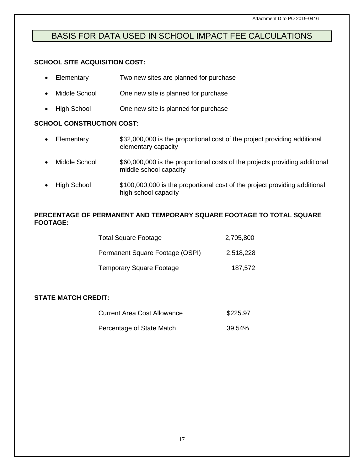## <span id="page-16-0"></span>BASIS FOR DATA USED IN SCHOOL IMPACT FEE CALCULATIONS

## **SCHOOL SITE ACQUISITION COST:**

| $\bullet$ | Elementary                       | Two new sites are planned for purchase                                                                |
|-----------|----------------------------------|-------------------------------------------------------------------------------------------------------|
|           | Middle School                    | One new site is planned for purchase                                                                  |
| $\bullet$ | <b>High School</b>               | One new site is planned for purchase                                                                  |
|           | <b>SCHOOL CONSTRUCTION COST:</b> |                                                                                                       |
| $\bullet$ | Elementary                       | \$32,000,000 is the proportional cost of the project providing additional<br>elementary capacity      |
|           | Middle School                    | \$60,000,000 is the proportional costs of the projects providing additional<br>middle school capacity |
|           | High School                      | \$100,000,000 is the proportional cost of the project providing additional<br>high school capacity    |

### **PERCENTAGE OF PERMANENT AND TEMPORARY SQUARE FOOTAGE TO TOTAL SQUARE FOOTAGE:**

| <b>Total Square Footage</b>     | 2,705,800 |
|---------------------------------|-----------|
| Permanent Square Footage (OSPI) | 2,518,228 |
| <b>Temporary Square Footage</b> | 187,572   |

### **STATE MATCH CREDIT:**

| \$225.97 |
|----------|
|          |

<span id="page-16-1"></span>Percentage of State Match 39.54%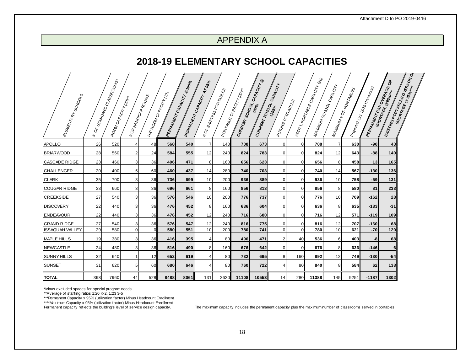## APPENDIX A

## **2018-19 ELEMENTARY SCHOOL CAPACITIES**

| <b>ELEMENTARY SCHOOLS</b> | $\delta$<br>₩ | E STANDARD CLASSROOMS-<br>ROOM CAPACITY (20)+ |          | <b>IFOF HANDICAP ROOMS</b> | <b>I</b> NC ROOM CAPACITY (12) | <b>PERMANENT CAPACITY</b> | <b>PERMANENT CAPACITY AT 95%</b><br><b>I*OF EXISTING /</b> | Ę<br>କ୍ଷ<br>PORTA<br>PORTABLE ( | CAPA CYTY (20)++<br>CURRENT SCHOOL ( | CAPACITY @<br>CURRENT SCHOOL C | CAPACITY<br><b>FUTURE PORTABLES</b> | <b>ADDTY</b>   | L PORTABLE CAPA CITY (20)<br>WA-KMNMSCHOOL ( | CAPACITY | <b>MAXMUM#OFPORTABLES</b> | $\vert_{\rho\delta\alpha_{\beta\alpha}\alpha_{\gamma}}\vert_{\delta\rho\delta\gamma_{\delta\gamma_{\delta}}\delta\gamma_{\delta\gamma_{\delta}}\delta\delta\omega_{\eta\gamma}}\vert$ | <b>PERMANEW CAP OVERAGE OR</b> | <b>ENSTING PORTABLES OVERAGEO</b> |
|---------------------------|---------------|-----------------------------------------------|----------|----------------------------|--------------------------------|---------------------------|------------------------------------------------------------|---------------------------------|--------------------------------------|--------------------------------|-------------------------------------|----------------|----------------------------------------------|----------|---------------------------|---------------------------------------------------------------------------------------------------------------------------------------------------------------------------------------|--------------------------------|-----------------------------------|
| <b>APOLLO</b>             | 26            | 520                                           |          | 48                         | 568                            | 540                       | 7                                                          | 140                             | 708                                  | 673                            | $\mathbf 0$                         | $\overline{0}$ | 708                                          | 7        | 630                       | $-90$                                                                                                                                                                                 | 43                             |                                   |
| <b>BRIARWOOD</b>          | 28            | 560                                           | 2        | 24                         | 584                            | 555                       | 12                                                         | 240                             | 824                                  | 783                            | 0                                   | $\overline{0}$ | 824                                          | 12       | 643                       | $-88$                                                                                                                                                                                 | 140                            |                                   |
| <b>CASCADE RIDGE</b>      | 23            | 460                                           | 3        | 36                         | 496                            | 471                       | 81                                                         | 160                             | 656                                  | 623                            | 0                                   | 0              | 656                                          | 8        | 458                       | 13                                                                                                                                                                                    | 165                            |                                   |
| <b>CHALLENGER</b>         | 20            | 400                                           | 5        | 60                         | 460                            | 437                       | 14                                                         | 280                             | 740                                  | 703                            | $\Omega$                            | $\Omega$       | 740                                          | 14       | 567                       | $-130$                                                                                                                                                                                | 136                            |                                   |
| <b>CLARK</b>              | 35            | 700                                           | 3        | 36                         | 736                            | 699                       | 10 <sup>1</sup>                                            | 200                             | 936                                  | 889                            | $\mathbf 0$                         | $\overline{0}$ | 936                                          | 10       | 758                       | $-59$                                                                                                                                                                                 | 131                            |                                   |
| <b>COUGAR RIDGE</b>       | 33            | 660                                           | 3        | 36                         | 696                            | 661                       | 8 <sup>1</sup>                                             | 160                             | 856                                  | 813                            | 0                                   | $\overline{0}$ | 856                                          | 8        | 580                       | 81                                                                                                                                                                                    | 233                            |                                   |
| <b>CREEKSIDE</b>          | 27            | 540                                           | 3        | 36                         | 576                            | 546                       | 10 <sup>1</sup>                                            | 200                             | 776                                  | 737                            | $\mathbf 0$                         | $\overline{0}$ | 776                                          | 10       | 709                       | $-162$                                                                                                                                                                                | 28                             |                                   |
| <b>DISCOVERY</b>          | 22            | 440                                           | 3        | 36                         | 476                            | 452                       | 8                                                          | 160                             | 636                                  | 604                            | 0                                   | 0              | 636                                          | 8        | 635                       | $-183$                                                                                                                                                                                | $-31$                          |                                   |
| <b>ENDEAVOUR</b>          | 22            | 440                                           | 3        | 36                         | 476                            | 452                       | 12                                                         | 240                             | 716                                  | 680                            | $\mathbf 0$                         | $\overline{0}$ | 716                                          | 12       | 571                       | $-119$                                                                                                                                                                                | 109                            |                                   |
| <b>GRAND RIDGE</b>        | 27            | 540                                           | 3        | 36                         | 576                            | 547                       | 12                                                         | 240                             | 816                                  | 775                            | 0                                   | $\overline{0}$ | 816                                          | 12       | 707                       | $-160$                                                                                                                                                                                | 68                             |                                   |
| <b>ISSAQUAH VALLEY</b>    | 29            | 580                                           | $\Omega$ | $\Omega$                   | 580                            | 551                       | 10                                                         | 200                             | 780                                  | 741                            | $\mathbf{0}$                        | $\Omega$       | 780                                          | 10       | 621                       | $-70$                                                                                                                                                                                 | 120                            |                                   |
| <b>MAPLE HILLS</b>        | 19            | 380                                           | 3        | 36                         | 416                            | 395                       | 4                                                          | 80                              | 496                                  | 471                            | 2                                   | 40             | 536                                          | 6        | 403                       | -8                                                                                                                                                                                    | 68                             |                                   |
| <b>NEWCASTLE</b>          | 24            | 480                                           | 3        | 36                         | <b>516</b>                     | 490                       | 8 <sup>1</sup>                                             | 160                             | 6761                                 | 642                            | $\mathbf 0$                         | $\Omega$       | 676                                          | 8        | 636                       | $-146$                                                                                                                                                                                | 6                              |                                   |
| <b>SUNNY HILLS</b>        | 32            | 640                                           |          | 12                         | 652                            | 619                       | 4                                                          | 80                              | 732                                  | 695                            | 8                                   | 160            | 892                                          | 12       | 749                       | $-130$                                                                                                                                                                                | $-54$                          |                                   |
| <b>SUNSET</b>             | 31            | 620                                           | 5        | 60                         | 680                            | 646                       | 4                                                          | 80                              | 760                                  | 722                            | 4                                   | 80             | 840                                          | 8        | 584                       | 62                                                                                                                                                                                    | 138                            |                                   |
| <b>TOTAL</b>              | 398           | 7960                                          | 44       | 528                        | 8488                           | 8061                      | 131                                                        | 2620                            | 11108                                | 10553                          | 14                                  | 280            | 11388                                        | 145      | 9251                      | $-1187$                                                                                                                                                                               | 1302                           |                                   |

\*Minus excluded spaces for special program needs

\*\*Average of staffing ratios 1:20 K-2, 1:23 3-5 \*\*\*Permanent Capacity x 95% (utilization factor) Minus Headcount Enrollment \*\*\*\*Maximum Capacity x 95% (utilization factor) Minus Headcount Enrollment

Permanent capacity reflects the building's level of service design capacity. The maximum capacity includes the permanent capacity plus the maximum number of classrooms served in portables.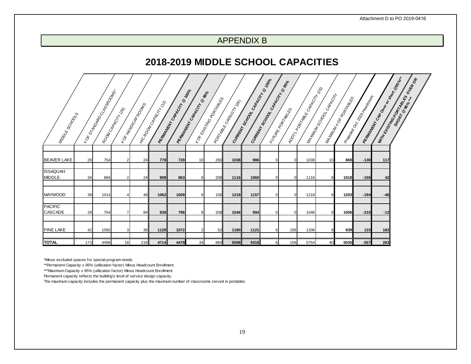## APPENDIX B

## **2018-2019 MIDDLE SCHOOL CAPACITIES**

<span id="page-18-0"></span>

| Minones Rock       |     | I * OF STAVOARD CLASSROUNG- | <b>ROOM</b> CAROCITY | I * OF 14No <sub>CAP</sub><br>Mora <sub>PRO</sub> | Inc Room CARACITY (12) | <b>REMARKATION SARACTIVE @ 10pg</b> | <b>PERMANENT CAPACITY RESIST</b> | I ROF CHOTAGO DO TATA RES | Popringle Control (Re) | Cument Scriptor Contagraphent | <b>100°</b><br>Cu <sub>pper</sub> Scx Dox | L CAPACITY BASE<br>I Kinderbandelses<br><b>ADDT</b> | T PORTABLE CAPA CITY CRIS | <b>MATRIMSCHOOL CAPACITY</b> | MAHMUM #OR-PORTAGES | I Rivergo Ort 2019 Kiegobaum | IRERMANDA BOOMBOOKS | OVERA OR<br><b>MARKATAN BRANCADA RANCISCO</b> |
|--------------------|-----|-----------------------------|----------------------|---------------------------------------------------|------------------------|-------------------------------------|----------------------------------|---------------------------|------------------------|-------------------------------|-------------------------------------------|-----------------------------------------------------|---------------------------|------------------------------|---------------------|------------------------------|---------------------|-----------------------------------------------|
|                    |     |                             |                      |                                                   |                        |                                     |                                  |                           |                        |                               |                                           |                                                     |                           |                              |                     |                              |                     |                                               |
| <b>BEAVER LAKE</b> | 29  | 754                         | $\overline{2}$       | 24                                                | 778                    | 739                                 | 10                               | 260                       | 1038                   | 986                           | $\mathbf{0}$                              | $\overline{0}$                                      | 1038                      | 10                           | 869                 | $-130$                       | 117                 |                                               |
| <b>ISSAQUAH</b>    |     |                             |                      |                                                   |                        |                                     |                                  |                           |                        |                               |                                           |                                                     |                           |                              |                     |                              |                     |                                               |
| <b>MIDDLE</b>      | 34  | 884                         | $\overline{2}$       | 24                                                | 908                    | 863                                 | 8                                | 208                       | <b>1116</b>            | 1060                          |                                           | $\Omega$                                            | 1116                      | 8                            | 1018                | $-155$                       | 42                  |                                               |
|                    |     |                             |                      |                                                   |                        |                                     |                                  |                           |                        |                               |                                           |                                                     |                           |                              |                     |                              |                     |                                               |
| MAYWOOD            | 39  | 1014                        | 4                    | 48                                                | 1062                   | 1009                                | $6 \mid$                         | 156                       | 1218                   | 1157                          |                                           | $\Omega$                                            | 1218                      | 6                            | 1203                | $-194$                       | $-46$               |                                               |
| <b>PACIFIC</b>     |     |                             |                      |                                                   |                        |                                     |                                  |                           |                        |                               |                                           |                                                     |                           |                              |                     |                              |                     |                                               |
| <b>CASCADE</b>     | 29  | 754                         | $\overline{7}$       | 84                                                | 838                    | 796                                 | 8                                | 208                       | 1046                   | 994                           | $\Omega$                                  | $\overline{0}$                                      | 1046                      | 8                            | 1006                | $-210$                       | $-12$               |                                               |
|                    |     |                             |                      |                                                   |                        |                                     |                                  |                           |                        |                               |                                           |                                                     |                           |                              |                     |                              |                     |                                               |
| <b>PINE LAKE</b>   | 42  | 1092                        | 3 <sup>1</sup>       | <b>36</b>                                         | 1128                   | 1072                                | $\overline{2}$                   | 52                        | 1180                   | 1121                          | 6                                         | 156                                                 | 1336                      | 8                            | 939                 | $133$                        | 182                 |                                               |
|                    |     |                             |                      |                                                   |                        |                                     |                                  |                           |                        |                               |                                           |                                                     |                           |                              |                     |                              |                     |                                               |
| <b>TOTAL</b>       | 173 | 4498                        | 18                   | 216                                               | 4714                   | 4478                                | 34                               | 884                       | 5598                   | 5318                          | $6 \mid$                                  | 156                                                 | 5754                      | 40                           | 5035                | $-557$                       | 283                 |                                               |

\*Minus excluded spaces for special program needs

\*\*Permanent Capacity x 95% (utilization factor) Minus Headcount Enrollment

\*\*\*Maximum Capacity x 95% (utilization factor) Minus Headcount Enrollment

Permanent capacity reflects the building's level of service design capacity.

The maximum capacity includes the permanent capacity plus the maximum number of classrooms served in portables.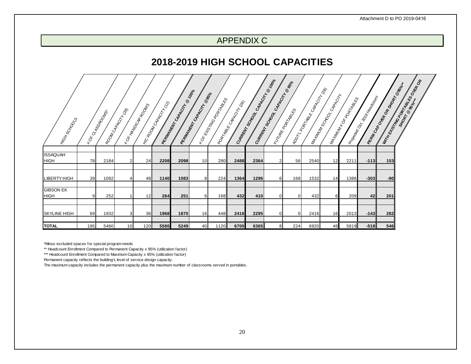## APPENDIX C

## **2018-2019 HIGH SCHOOL CAPACITIES**

<span id="page-19-0"></span>

| I Hox Scx OCLS                  |     | I *OF QASSROOMS+ | I RODIN CAROCITY | I * OF HIVOCAP ROOMS | I rector contractor (13) | <b>REMARKATION ROOM</b> | <b>100°</b><br><b>REPARATION CABBONY RESIDENCE</b> | I ROF Grocing Concrete | <b>Portal</b> s Collador (Rey) | Cumerican Manuscript | CURRIVE OR CARACTER | I TURE PORTABLES<br><b>PODT</b> | L PORTABLE CAPA CITY CREB | CARACITY<br>WANTING SCHOOL C | MANINIA ROK PORTAGES | I Riverga Cr. 2019 Kiegoburn | REAT ON BOOM BOOM BOOM AT | <b>Improvements of the Second Repair</b> |
|---------------------------------|-----|------------------|------------------|----------------------|--------------------------|-------------------------|----------------------------------------------------|------------------------|--------------------------------|----------------------|---------------------|---------------------------------|---------------------------|------------------------------|----------------------|------------------------------|---------------------------|------------------------------------------|
|                                 |     |                  |                  |                      |                          |                         |                                                    |                        |                                |                      |                     |                                 |                           |                              |                      |                              |                           |                                          |
| <b>ISSAQUAH</b><br><b>HIGH</b>  | 78  | 2184             |                  | 24                   | 2208                     | 2098                    | 10 <sup>1</sup>                                    | 280                    | 2488                           | 2364                 | $\overline{2}$      | 56                              | 2540                      | 12                           | 2211                 | $-113$                       | 153                       |                                          |
|                                 |     |                  |                  |                      |                          |                         |                                                    |                        |                                |                      |                     |                                 |                           |                              |                      |                              |                           |                                          |
| <b>LIBERTY HIGH</b>             | 39  | 1092             |                  | 48                   | 1140                     | 1083                    | 8 <sup>1</sup>                                     | 224                    | 1364                           | 1296                 | 6                   | 168                             | 1532                      | 14                           | 1386                 | $-303$                       | $-90$                     |                                          |
|                                 |     |                  |                  |                      |                          |                         |                                                    |                        |                                |                      |                     |                                 |                           |                              |                      |                              |                           |                                          |
| <b>GIBSON EK</b><br><b>HIGH</b> | 9   | 252              |                  | 12 <sup>l</sup>      | 264                      | 251                     | 6                                                  | 168I                   | 432                            | 410                  | $\overline{0}$      | $\mathbf 0$                     | 432                       | 6                            | 209                  | 42                           | 201                       |                                          |
|                                 |     |                  |                  |                      |                          |                         |                                                    |                        |                                |                      |                     |                                 |                           |                              |                      |                              |                           |                                          |
| <b>SKYLINE HIGH</b>             | 69  | 1932             | 3                | 36                   | 1968                     | 1870                    | 16                                                 | 448                    | 2416                           | 2295                 | $\overline{0}$      | 0                               | 2416                      | 16                           | 2013                 | $-143$                       | 282                       |                                          |
|                                 |     |                  |                  |                      |                          |                         |                                                    |                        |                                |                      |                     |                                 |                           |                              |                      |                              |                           |                                          |
| <b>TOTAL</b>                    | 195 | 5460             | 10               | 120                  | 5580                     | 5249                    | 40                                                 | 1120                   | 6700                           | 6365                 | 8                   | 224                             | 6920                      | 48                           | 5819                 | $-518$                       | 546                       |                                          |

\*Minus excluded spaces for special program needs

\*\* Headcount Enrollment Compared to Permanent Capacity x 95% (utilization factor)

\*\*\* Headcount Enrollment Compared to Maximum Capacity x 95% (utilization factor)

Permanent capacity reflects the building's level of service design capacity.

The maximum capacity includes the permanent capacity plus the maximum number of classrooms served in portables.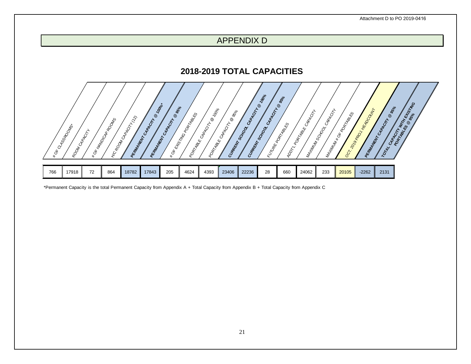## APPENDIX D

## **2018-2019 TOTAL CAPACITIES**



<span id="page-20-1"></span><span id="page-20-0"></span>\*Permanent Capacity is the total Permanent Capacity from Appendix A + Total Capacity from Appendix B + Total Capacity from Appendix C